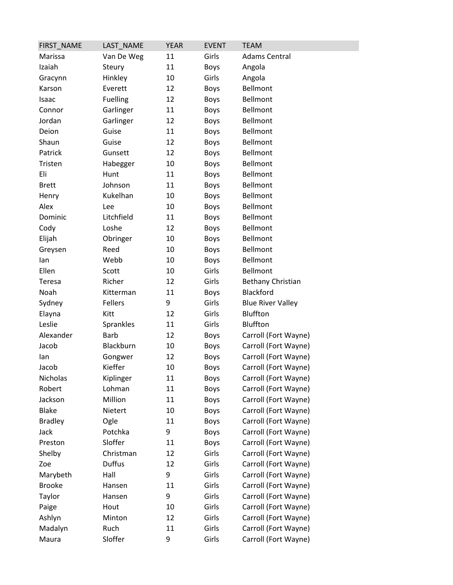| FIRST_NAME     | LAST_NAME       | <b>YEAR</b> | <b>EVENT</b> | <b>TEAM</b>              |
|----------------|-----------------|-------------|--------------|--------------------------|
| Marissa        | Van De Weg      | 11          | Girls        | <b>Adams Central</b>     |
| Izaiah         | Steury          | 11          | <b>Boys</b>  | Angola                   |
| Gracynn        | Hinkley         | 10          | Girls        | Angola                   |
| Karson         | Everett         | 12          | Boys         | <b>Bellmont</b>          |
| Isaac          | <b>Fuelling</b> | 12          | <b>Boys</b>  | <b>Bellmont</b>          |
| Connor         | Garlinger       | 11          | <b>Boys</b>  | Bellmont                 |
| Jordan         | Garlinger       | 12          | <b>Boys</b>  | Bellmont                 |
| Deion          | Guise           | 11          | <b>Boys</b>  | <b>Bellmont</b>          |
| Shaun          | Guise           | 12          | <b>Boys</b>  | Bellmont                 |
| Patrick        | Gunsett         | 12          | <b>Boys</b>  | Bellmont                 |
| Tristen        | Habegger        | 10          | <b>Boys</b>  | Bellmont                 |
| Eli            | Hunt            | 11          | <b>Boys</b>  | Bellmont                 |
| <b>Brett</b>   | Johnson         | 11          | <b>Boys</b>  | <b>Bellmont</b>          |
| Henry          | Kukelhan        | 10          | <b>Boys</b>  | Bellmont                 |
| Alex           | Lee             | 10          | <b>Boys</b>  | Bellmont                 |
| Dominic        | Litchfield      | 11          | Boys         | Bellmont                 |
| Cody           | Loshe           | 12          | <b>Boys</b>  | <b>Bellmont</b>          |
| Elijah         | Obringer        | 10          | <b>Boys</b>  | Bellmont                 |
| Greysen        | Reed            | 10          | <b>Boys</b>  | Bellmont                 |
| lan            | Webb            | 10          | <b>Boys</b>  | Bellmont                 |
| Ellen          | Scott           | 10          | Girls        | <b>Bellmont</b>          |
| Teresa         | Richer          | 12          | Girls        | Bethany Christian        |
| Noah           | Kitterman       | 11          | <b>Boys</b>  | Blackford                |
| Sydney         | Fellers         | 9           | Girls        | <b>Blue River Valley</b> |
| Elayna         | Kitt            | 12          | Girls        | Bluffton                 |
| Leslie         | Sprankles       | 11          | Girls        | Bluffton                 |
| Alexander      | <b>Barb</b>     | 12          | <b>Boys</b>  | Carroll (Fort Wayne)     |
| Jacob          | Blackburn       | 10          | <b>Boys</b>  | Carroll (Fort Wayne)     |
| lan            | Gongwer         | 12          | <b>Boys</b>  | Carroll (Fort Wayne)     |
| Jacob          | Kieffer         | 10          | Boys         | Carroll (Fort Wayne)     |
| Nicholas       | Kiplinger       | 11          | Boys         | Carroll (Fort Wayne)     |
| Robert         | Lohman          | 11          | <b>Boys</b>  | Carroll (Fort Wayne)     |
| Jackson        | Million         | 11          | <b>Boys</b>  | Carroll (Fort Wayne)     |
| <b>Blake</b>   | Nietert         | 10          | <b>Boys</b>  | Carroll (Fort Wayne)     |
| <b>Bradley</b> | Ogle            | 11          | <b>Boys</b>  | Carroll (Fort Wayne)     |
| Jack           | Potchka         | 9           | <b>Boys</b>  | Carroll (Fort Wayne)     |
| Preston        | Sloffer         | 11          | <b>Boys</b>  | Carroll (Fort Wayne)     |
| Shelby         | Christman       | 12          | Girls        | Carroll (Fort Wayne)     |
| Zoe            | Duffus          | 12          | Girls        | Carroll (Fort Wayne)     |
| Marybeth       | Hall            | 9           | Girls        | Carroll (Fort Wayne)     |
| <b>Brooke</b>  | Hansen          | 11          | Girls        | Carroll (Fort Wayne)     |
| Taylor         | Hansen          | 9           | Girls        | Carroll (Fort Wayne)     |
| Paige          | Hout            | 10          | Girls        | Carroll (Fort Wayne)     |
| Ashlyn         | Minton          | 12          | Girls        | Carroll (Fort Wayne)     |
| Madalyn        | Ruch            | 11          | Girls        | Carroll (Fort Wayne)     |
| Maura          | Sloffer         | 9           | Girls        | Carroll (Fort Wayne)     |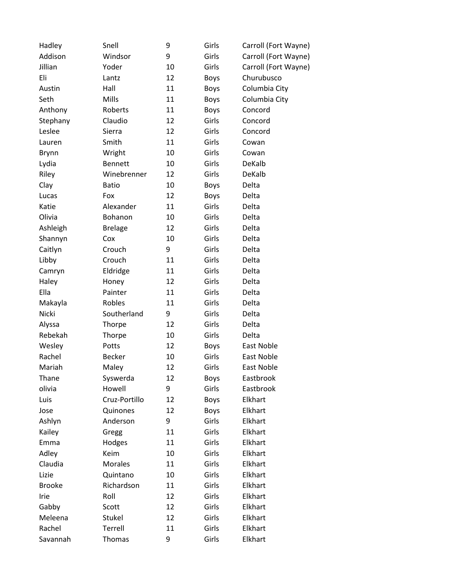| Hadley        | Snell          | 9  | Girls       | Carroll (Fort Wayne) |
|---------------|----------------|----|-------------|----------------------|
| Addison       | Windsor        | 9  | Girls       | Carroll (Fort Wayne) |
| Jillian       | Yoder          | 10 | Girls       | Carroll (Fort Wayne) |
| Eli           | Lantz          | 12 | <b>Boys</b> | Churubusco           |
| Austin        | Hall           | 11 | <b>Boys</b> | Columbia City        |
| Seth          | Mills          | 11 | <b>Boys</b> | Columbia City        |
| Anthony       | Roberts        | 11 | <b>Boys</b> | Concord              |
| Stephany      | Claudio        | 12 | Girls       | Concord              |
| Leslee        | Sierra         | 12 | Girls       | Concord              |
| Lauren        | Smith          | 11 | Girls       | Cowan                |
| <b>Brynn</b>  | Wright         | 10 | Girls       | Cowan                |
| Lydia         | <b>Bennett</b> | 10 | Girls       | DeKalb               |
| Riley         | Winebrenner    | 12 | Girls       | DeKalb               |
| Clay          | <b>Batio</b>   | 10 | <b>Boys</b> | Delta                |
| Lucas         | Fox            | 12 | <b>Boys</b> | Delta                |
| Katie         | Alexander      | 11 | Girls       | Delta                |
| Olivia        | Bohanon        | 10 | Girls       | Delta                |
| Ashleigh      | <b>Brelage</b> | 12 | Girls       | Delta                |
| Shannyn       | Cox            | 10 | Girls       | Delta                |
| Caitlyn       | Crouch         | 9  | Girls       | Delta                |
| Libby         | Crouch         | 11 | Girls       | Delta                |
| Camryn        | Eldridge       | 11 | Girls       | Delta                |
| Haley         | Honey          | 12 | Girls       | Delta                |
| Ella          | Painter        | 11 | Girls       | Delta                |
| Makayla       | Robles         | 11 | Girls       | Delta                |
| Nicki         | Southerland    | 9  | Girls       | Delta                |
| Alyssa        | Thorpe         | 12 | Girls       | Delta                |
| Rebekah       | Thorpe         | 10 | Girls       | Delta                |
| Wesley        | Potts          | 12 | <b>Boys</b> | East Noble           |
| Rachel        | <b>Becker</b>  | 10 | Girls       | East Noble           |
| Mariah        | Maley          | 12 | Girls       | East Noble           |
| Thane         | Syswerda       | 12 | <b>Boys</b> | Eastbrook            |
| olivia        | Howell         | 9  | Girls       | Eastbrook            |
| Luis          | Cruz-Portillo  | 12 | <b>Boys</b> | Elkhart              |
| Jose          | Quinones       | 12 | <b>Boys</b> | Elkhart              |
| Ashlyn        | Anderson       | 9  | Girls       | Elkhart              |
| Kailey        | Gregg          | 11 | Girls       | Elkhart              |
| Emma          | Hodges         | 11 | Girls       | Elkhart              |
| Adley         | Keim           | 10 | Girls       | Elkhart              |
| Claudia       | <b>Morales</b> | 11 | Girls       | Elkhart              |
| Lizie         | Quintano       | 10 | Girls       | Elkhart              |
| <b>Brooke</b> | Richardson     | 11 | Girls       | Elkhart              |
| Irie          | Roll           | 12 | Girls       | Elkhart              |
| Gabby         | Scott          | 12 | Girls       | Elkhart              |
| Meleena       | Stukel         | 12 | Girls       | Elkhart              |
| Rachel        | Terrell        | 11 | Girls       | Elkhart              |
| Savannah      | Thomas         | 9  | Girls       | Elkhart              |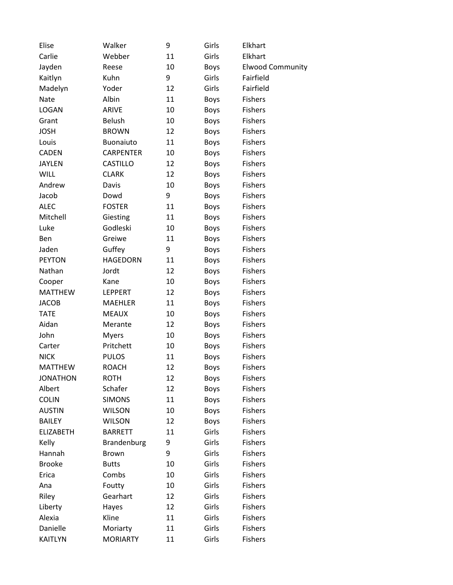| Elise            | Walker           | 9  | Girls       | Elkhart                 |
|------------------|------------------|----|-------------|-------------------------|
| Carlie           | Webber           | 11 | Girls       | Elkhart                 |
| Jayden           | Reese            | 10 | <b>Boys</b> | <b>Elwood Community</b> |
| Kaitlyn          | Kuhn             | 9  | Girls       | Fairfield               |
| Madelyn          | Yoder            | 12 | Girls       | Fairfield               |
| Nate             | Albin            | 11 | <b>Boys</b> | <b>Fishers</b>          |
| <b>LOGAN</b>     | ARIVE            | 10 | <b>Boys</b> | <b>Fishers</b>          |
| Grant            | <b>Belush</b>    | 10 | <b>Boys</b> | <b>Fishers</b>          |
| <b>JOSH</b>      | <b>BROWN</b>     | 12 | <b>Boys</b> | <b>Fishers</b>          |
| Louis            | Buonaiuto        | 11 | <b>Boys</b> | <b>Fishers</b>          |
| <b>CADEN</b>     | <b>CARPENTER</b> | 10 | <b>Boys</b> | <b>Fishers</b>          |
| <b>JAYLEN</b>    | <b>CASTILLO</b>  | 12 | <b>Boys</b> | <b>Fishers</b>          |
| <b>WILL</b>      | <b>CLARK</b>     | 12 | <b>Boys</b> | <b>Fishers</b>          |
| Andrew           | Davis            | 10 | <b>Boys</b> | <b>Fishers</b>          |
| Jacob            | Dowd             | 9  | <b>Boys</b> | <b>Fishers</b>          |
| <b>ALEC</b>      | <b>FOSTER</b>    | 11 | <b>Boys</b> | <b>Fishers</b>          |
| Mitchell         | Giesting         | 11 | <b>Boys</b> | <b>Fishers</b>          |
| Luke             | Godleski         | 10 | <b>Boys</b> | <b>Fishers</b>          |
| Ben              | Greiwe           | 11 | <b>Boys</b> | <b>Fishers</b>          |
| Jaden            | Guffey           | 9  | <b>Boys</b> | <b>Fishers</b>          |
| <b>PEYTON</b>    | <b>HAGEDORN</b>  | 11 | Boys        | <b>Fishers</b>          |
| Nathan           | Jordt            | 12 | <b>Boys</b> | <b>Fishers</b>          |
| Cooper           | Kane             | 10 | <b>Boys</b> | <b>Fishers</b>          |
| <b>MATTHEW</b>   | <b>LEPPERT</b>   | 12 | <b>Boys</b> | <b>Fishers</b>          |
| <b>JACOB</b>     | <b>MAEHLER</b>   | 11 | <b>Boys</b> | <b>Fishers</b>          |
| <b>TATE</b>      | <b>MEAUX</b>     | 10 | <b>Boys</b> | <b>Fishers</b>          |
| Aidan            | Merante          | 12 | <b>Boys</b> | <b>Fishers</b>          |
| John             | <b>Myers</b>     | 10 | <b>Boys</b> | <b>Fishers</b>          |
| Carter           | Pritchett        | 10 | <b>Boys</b> | <b>Fishers</b>          |
| <b>NICK</b>      | <b>PULOS</b>     | 11 | <b>Boys</b> | <b>Fishers</b>          |
| <b>MATTHEW</b>   | <b>ROACH</b>     | 12 | <b>Boys</b> | <b>Fishers</b>          |
| <b>JONATHON</b>  | <b>ROTH</b>      | 12 | <b>Boys</b> | <b>Fishers</b>          |
| Albert           | Schafer          | 12 | Boys        | <b>Fishers</b>          |
| <b>COLIN</b>     | <b>SIMONS</b>    | 11 | <b>Boys</b> | <b>Fishers</b>          |
| <b>AUSTIN</b>    | <b>WILSON</b>    | 10 | Boys        | <b>Fishers</b>          |
| <b>BAILEY</b>    | <b>WILSON</b>    | 12 | <b>Boys</b> | <b>Fishers</b>          |
| <b>ELIZABETH</b> | <b>BARRETT</b>   | 11 | Girls       | <b>Fishers</b>          |
| Kelly            | Brandenburg      | 9  | Girls       | <b>Fishers</b>          |
| Hannah           | <b>Brown</b>     | 9  | Girls       | <b>Fishers</b>          |
| <b>Brooke</b>    | <b>Butts</b>     | 10 | Girls       | <b>Fishers</b>          |
| Erica            | Combs            | 10 | Girls       | <b>Fishers</b>          |
| Ana              | Foutty           | 10 | Girls       | <b>Fishers</b>          |
| Riley            | Gearhart         | 12 | Girls       | <b>Fishers</b>          |
| Liberty          | Hayes            | 12 | Girls       | <b>Fishers</b>          |
| Alexia           | Kline            | 11 | Girls       | <b>Fishers</b>          |
| Danielle         | Moriarty         | 11 | Girls       | <b>Fishers</b>          |
| <b>KAITLYN</b>   | <b>MORIARTY</b>  | 11 | Girls       | <b>Fishers</b>          |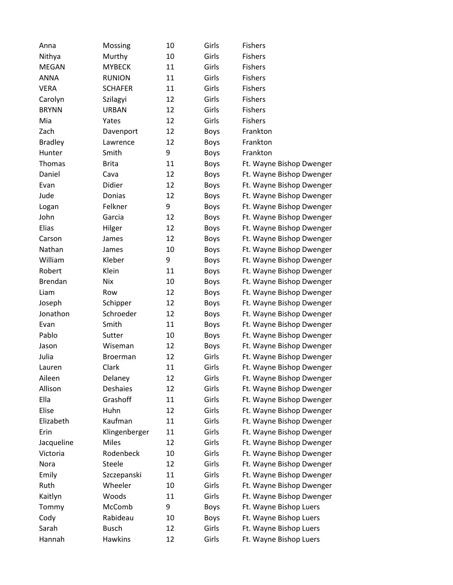| Anna           | Mossing         | 10 | Girls       | <b>Fishers</b>           |
|----------------|-----------------|----|-------------|--------------------------|
| Nithya         | Murthy          | 10 | Girls       | <b>Fishers</b>           |
| <b>MEGAN</b>   | <b>MYBECK</b>   | 11 | Girls       | <b>Fishers</b>           |
| <b>ANNA</b>    | <b>RUNION</b>   | 11 | Girls       | <b>Fishers</b>           |
| <b>VERA</b>    | <b>SCHAFER</b>  | 11 | Girls       | <b>Fishers</b>           |
| Carolyn        | Szilagyi        | 12 | Girls       | <b>Fishers</b>           |
| <b>BRYNN</b>   | <b>URBAN</b>    | 12 | Girls       | Fishers                  |
| Mia            | Yates           | 12 | Girls       | <b>Fishers</b>           |
| Zach           | Davenport       | 12 | <b>Boys</b> | Frankton                 |
| <b>Bradley</b> | Lawrence        | 12 | <b>Boys</b> | Frankton                 |
| Hunter         | Smith           | 9  | <b>Boys</b> | Frankton                 |
| Thomas         | <b>Brita</b>    | 11 | <b>Boys</b> | Ft. Wayne Bishop Dwenger |
| Daniel         | Cava            | 12 | <b>Boys</b> | Ft. Wayne Bishop Dwenger |
| Evan           | Didier          | 12 | <b>Boys</b> | Ft. Wayne Bishop Dwenger |
| Jude           | Donias          | 12 | <b>Boys</b> | Ft. Wayne Bishop Dwenger |
| Logan          | Felkner         | 9  | <b>Boys</b> | Ft. Wayne Bishop Dwenger |
| John           | Garcia          | 12 | <b>Boys</b> | Ft. Wayne Bishop Dwenger |
| Elias          | Hilger          | 12 | <b>Boys</b> | Ft. Wayne Bishop Dwenger |
| Carson         | James           | 12 | <b>Boys</b> | Ft. Wayne Bishop Dwenger |
| Nathan         | James           | 10 | <b>Boys</b> | Ft. Wayne Bishop Dwenger |
| William        | Kleber          | 9  | <b>Boys</b> | Ft. Wayne Bishop Dwenger |
| Robert         | Klein           | 11 | <b>Boys</b> | Ft. Wayne Bishop Dwenger |
| <b>Brendan</b> | <b>Nix</b>      | 10 | Boys        | Ft. Wayne Bishop Dwenger |
| Liam           | Row             | 12 | <b>Boys</b> | Ft. Wayne Bishop Dwenger |
| Joseph         | Schipper        | 12 | <b>Boys</b> | Ft. Wayne Bishop Dwenger |
| Jonathon       | Schroeder       | 12 | <b>Boys</b> | Ft. Wayne Bishop Dwenger |
| Evan           | Smith           | 11 | <b>Boys</b> | Ft. Wayne Bishop Dwenger |
| Pablo          | Sutter          | 10 | <b>Boys</b> | Ft. Wayne Bishop Dwenger |
| Jason          | Wiseman         | 12 | <b>Boys</b> | Ft. Wayne Bishop Dwenger |
| Julia          | <b>Broerman</b> | 12 | Girls       | Ft. Wayne Bishop Dwenger |
| Lauren         | Clark           | 11 | Girls       | Ft. Wayne Bishop Dwenger |
| Aileen         | Delaney         | 12 | Girls       | Ft. Wayne Bishop Dwenger |
| Allison        | <b>Deshaies</b> | 12 | Girls       | Ft. Wayne Bishop Dwenger |
| Ella           | Grashoff        | 11 | Girls       | Ft. Wayne Bishop Dwenger |
| Elise          | Huhn            | 12 | Girls       | Ft. Wayne Bishop Dwenger |
| Elizabeth      | Kaufman         | 11 | Girls       | Ft. Wayne Bishop Dwenger |
| Erin           | Klingenberger   | 11 | Girls       | Ft. Wayne Bishop Dwenger |
| Jacqueline     | <b>Miles</b>    | 12 | Girls       | Ft. Wayne Bishop Dwenger |
| Victoria       | Rodenbeck       | 10 | Girls       | Ft. Wayne Bishop Dwenger |
| Nora           | Steele          | 12 | Girls       | Ft. Wayne Bishop Dwenger |
| Emily          | Szczepanski     | 11 | Girls       | Ft. Wayne Bishop Dwenger |
| Ruth           | Wheeler         | 10 | Girls       | Ft. Wayne Bishop Dwenger |
| Kaitlyn        | Woods           | 11 | Girls       | Ft. Wayne Bishop Dwenger |
| Tommy          | McComb          | 9  | <b>Boys</b> | Ft. Wayne Bishop Luers   |
| Cody           | Rabideau        | 10 | <b>Boys</b> | Ft. Wayne Bishop Luers   |
| Sarah          | <b>Busch</b>    | 12 | Girls       | Ft. Wayne Bishop Luers   |
| Hannah         | Hawkins         | 12 | Girls       | Ft. Wayne Bishop Luers   |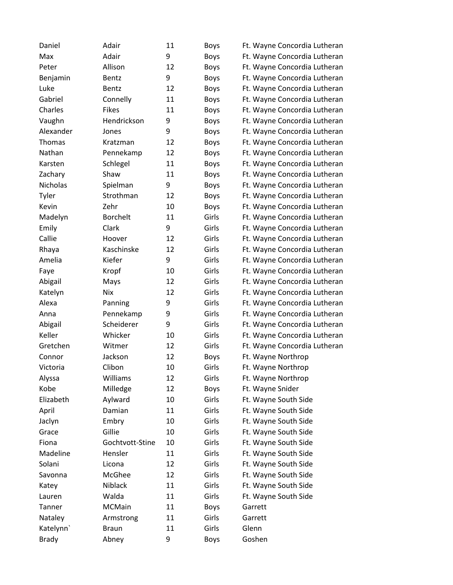| Daniel       | Adair           | 11 | <b>Boys</b> | Ft. Wayne Concordia Lutheran |
|--------------|-----------------|----|-------------|------------------------------|
| Max          | Adair           | 9  | Boys        | Ft. Wayne Concordia Lutheran |
| Peter        | Allison         | 12 | <b>Boys</b> | Ft. Wayne Concordia Lutheran |
| Benjamin     | Bentz           | 9  | Boys        | Ft. Wayne Concordia Lutheran |
| Luke         | Bentz           | 12 | Boys        | Ft. Wayne Concordia Lutheran |
| Gabriel      | Connelly        | 11 | <b>Boys</b> | Ft. Wayne Concordia Lutheran |
| Charles      | <b>Fikes</b>    | 11 | Boys        | Ft. Wayne Concordia Lutheran |
| Vaughn       | Hendrickson     | 9  | Boys        | Ft. Wayne Concordia Lutheran |
| Alexander    | Jones           | 9  | Boys        | Ft. Wayne Concordia Lutheran |
| Thomas       | Kratzman        | 12 | Boys        | Ft. Wayne Concordia Lutheran |
| Nathan       | Pennekamp       | 12 | <b>Boys</b> | Ft. Wayne Concordia Lutheran |
| Karsten      | Schlegel        | 11 | Boys        | Ft. Wayne Concordia Lutheran |
| Zachary      | Shaw            | 11 | <b>Boys</b> | Ft. Wayne Concordia Lutheran |
| Nicholas     | Spielman        | 9  | Boys        | Ft. Wayne Concordia Lutheran |
| Tyler        | Strothman       | 12 | <b>Boys</b> | Ft. Wayne Concordia Lutheran |
| Kevin        | Zehr            | 10 | <b>Boys</b> | Ft. Wayne Concordia Lutheran |
| Madelyn      | <b>Borchelt</b> | 11 | Girls       | Ft. Wayne Concordia Lutheran |
| Emily        | Clark           | 9  | Girls       | Ft. Wayne Concordia Lutheran |
| Callie       | Hoover          | 12 | Girls       | Ft. Wayne Concordia Lutheran |
| Rhaya        | Kaschinske      | 12 | Girls       | Ft. Wayne Concordia Lutheran |
| Amelia       | Kiefer          | 9  | Girls       | Ft. Wayne Concordia Lutheran |
| Faye         | Kropf           | 10 | Girls       | Ft. Wayne Concordia Lutheran |
| Abigail      | Mays            | 12 | Girls       | Ft. Wayne Concordia Lutheran |
| Katelyn      | Nix             | 12 | Girls       | Ft. Wayne Concordia Lutheran |
| Alexa        | Panning         | 9  | Girls       | Ft. Wayne Concordia Lutheran |
| Anna         | Pennekamp       | 9  | Girls       | Ft. Wayne Concordia Lutheran |
| Abigail      | Scheiderer      | 9  | Girls       | Ft. Wayne Concordia Lutheran |
| Keller       | Whicker         | 10 | Girls       | Ft. Wayne Concordia Lutheran |
| Gretchen     | Witmer          | 12 | Girls       | Ft. Wayne Concordia Lutheran |
| Connor       | Jackson         | 12 | <b>Boys</b> | Ft. Wayne Northrop           |
| Victoria     | Clibon          | 10 | Girls       | Ft. Wayne Northrop           |
| Alyssa       | Williams        | 12 | Girls       | Ft. Wayne Northrop           |
| Kobe         | Milledge        | 12 | <b>Boys</b> | Ft. Wayne Snider             |
| Elizabeth    | Aylward         | 10 | Girls       | Ft. Wayne South Side         |
| April        | Damian          | 11 | Girls       | Ft. Wayne South Side         |
| Jaclyn       | Embry           | 10 | Girls       | Ft. Wayne South Side         |
| Grace        | Gillie          | 10 | Girls       | Ft. Wayne South Side         |
| Fiona        | Gochtvott-Stine | 10 | Girls       | Ft. Wayne South Side         |
| Madeline     | Hensler         | 11 | Girls       | Ft. Wayne South Side         |
| Solani       | Licona          | 12 | Girls       | Ft. Wayne South Side         |
| Savonna      | McGhee          | 12 | Girls       | Ft. Wayne South Side         |
| Katey        | Niblack         | 11 | Girls       | Ft. Wayne South Side         |
| Lauren       | Walda           | 11 | Girls       | Ft. Wayne South Side         |
| Tanner       | MCMain          | 11 | <b>Boys</b> | Garrett                      |
| Nataley      | Armstrong       | 11 | Girls       | Garrett                      |
| Katelynn'    | <b>Braun</b>    | 11 | Girls       | Glenn                        |
| <b>Brady</b> | Abney           | 9  | Boys        | Goshen                       |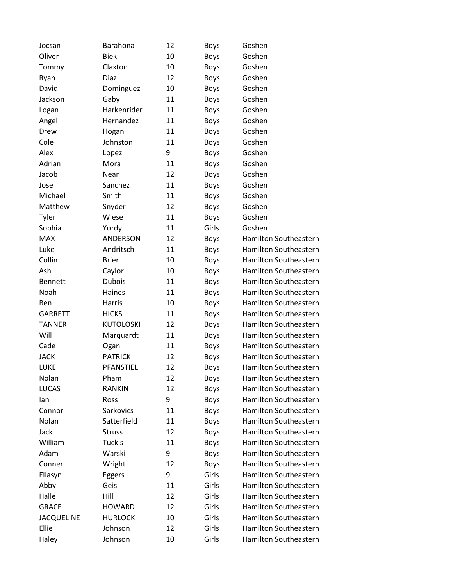| Jocsan            | Barahona         | 12 | <b>Boys</b> | Goshen                       |
|-------------------|------------------|----|-------------|------------------------------|
| Oliver            | <b>Biek</b>      | 10 | <b>Boys</b> | Goshen                       |
| Tommy             | Claxton          | 10 | <b>Boys</b> | Goshen                       |
| Ryan              | Diaz             | 12 | <b>Boys</b> | Goshen                       |
| David             | Dominguez        | 10 | <b>Boys</b> | Goshen                       |
| Jackson           | Gaby             | 11 | <b>Boys</b> | Goshen                       |
| Logan             | Harkenrider      | 11 | <b>Boys</b> | Goshen                       |
| Angel             | Hernandez        | 11 | <b>Boys</b> | Goshen                       |
| Drew              | Hogan            | 11 | <b>Boys</b> | Goshen                       |
| Cole              | Johnston         | 11 | Boys        | Goshen                       |
| Alex              | Lopez            | 9  | <b>Boys</b> | Goshen                       |
| Adrian            | Mora             | 11 | <b>Boys</b> | Goshen                       |
| Jacob             | Near             | 12 | <b>Boys</b> | Goshen                       |
| Jose              | Sanchez          | 11 | <b>Boys</b> | Goshen                       |
| Michael           | Smith            | 11 | <b>Boys</b> | Goshen                       |
| Matthew           | Snyder           | 12 | <b>Boys</b> | Goshen                       |
| Tyler             | Wiese            | 11 | <b>Boys</b> | Goshen                       |
| Sophia            | Yordy            | 11 | Girls       | Goshen                       |
| <b>MAX</b>        | ANDERSON         | 12 | Boys        | <b>Hamilton Southeastern</b> |
| Luke              | Andritsch        | 11 | <b>Boys</b> | <b>Hamilton Southeastern</b> |
| Collin            | <b>Brier</b>     | 10 | <b>Boys</b> | <b>Hamilton Southeastern</b> |
| Ash               | Caylor           | 10 | <b>Boys</b> | <b>Hamilton Southeastern</b> |
| <b>Bennett</b>    | <b>Dubois</b>    | 11 | <b>Boys</b> | <b>Hamilton Southeastern</b> |
| Noah              | Haines           | 11 | Boys        | <b>Hamilton Southeastern</b> |
| <b>Ben</b>        | Harris           | 10 | <b>Boys</b> | <b>Hamilton Southeastern</b> |
| <b>GARRETT</b>    | <b>HICKS</b>     | 11 | <b>Boys</b> | <b>Hamilton Southeastern</b> |
| <b>TANNER</b>     | <b>KUTOLOSKI</b> | 12 | <b>Boys</b> | <b>Hamilton Southeastern</b> |
| Will              | Marquardt        | 11 | Boys        | <b>Hamilton Southeastern</b> |
| Cade              | Ogan             | 11 | <b>Boys</b> | <b>Hamilton Southeastern</b> |
| <b>JACK</b>       | <b>PATRICK</b>   | 12 | <b>Boys</b> | Hamilton Southeastern        |
| LUKE              | PFANSTIEL        | 12 | <b>Boys</b> | Hamilton Southeastern        |
| Nolan             | Pham             | 12 | <b>Boys</b> | Hamilton Southeastern        |
| <b>LUCAS</b>      | <b>RANKIN</b>    | 12 | <b>Boys</b> | <b>Hamilton Southeastern</b> |
| lan               | Ross             | 9  | <b>Boys</b> | Hamilton Southeastern        |
| Connor            | Sarkovics        | 11 | <b>Boys</b> | <b>Hamilton Southeastern</b> |
| Nolan             | Satterfield      | 11 | <b>Boys</b> | <b>Hamilton Southeastern</b> |
| Jack              | <b>Struss</b>    | 12 | <b>Boys</b> | <b>Hamilton Southeastern</b> |
| William           | Tuckis           | 11 | <b>Boys</b> | Hamilton Southeastern        |
| Adam              | Warski           | 9  | <b>Boys</b> | <b>Hamilton Southeastern</b> |
| Conner            | Wright           | 12 | <b>Boys</b> | <b>Hamilton Southeastern</b> |
| Ellasyn           | Eggers           | 9  | Girls       | Hamilton Southeastern        |
| Abby              | Geis             | 11 | Girls       | <b>Hamilton Southeastern</b> |
| Halle             | Hill             | 12 | Girls       | <b>Hamilton Southeastern</b> |
| <b>GRACE</b>      | <b>HOWARD</b>    | 12 | Girls       | <b>Hamilton Southeastern</b> |
| <b>JACQUELINE</b> | <b>HURLOCK</b>   | 10 | Girls       | Hamilton Southeastern        |
| Ellie             | Johnson          | 12 | Girls       | <b>Hamilton Southeastern</b> |
| Haley             | Johnson          | 10 | Girls       | Hamilton Southeastern        |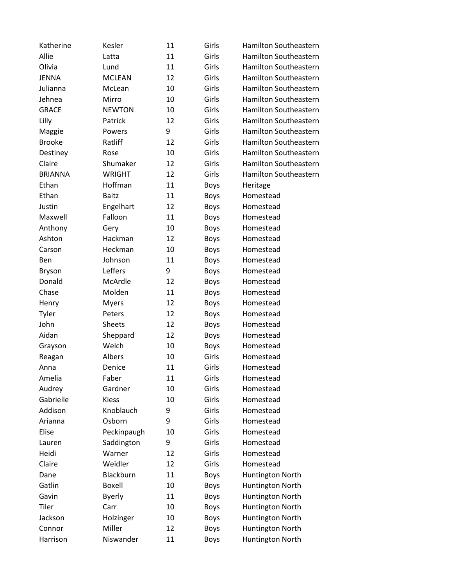| Katherine      | Kesler        | 11 | Girls       | Hamilton Southeastern        |
|----------------|---------------|----|-------------|------------------------------|
| Allie          | Latta         | 11 | Girls       | Hamilton Southeastern        |
| Olivia         | Lund          | 11 | Girls       | Hamilton Southeastern        |
| <b>JENNA</b>   | <b>MCLEAN</b> | 12 | Girls       | Hamilton Southeastern        |
| Julianna       | McLean        | 10 | Girls       | Hamilton Southeastern        |
| Jehnea         | Mirro         | 10 | Girls       | Hamilton Southeastern        |
| <b>GRACE</b>   | <b>NEWTON</b> | 10 | Girls       | Hamilton Southeastern        |
| Lilly          | Patrick       | 12 | Girls       | Hamilton Southeastern        |
| Maggie         | Powers        | 9  | Girls       | Hamilton Southeastern        |
| <b>Brooke</b>  | Ratliff       | 12 | Girls       | <b>Hamilton Southeastern</b> |
| Destiney       | Rose          | 10 | Girls       | Hamilton Southeastern        |
| Claire         | Shumaker      | 12 | Girls       | Hamilton Southeastern        |
| <b>BRIANNA</b> | <b>WRIGHT</b> | 12 | Girls       | Hamilton Southeastern        |
| Ethan          | Hoffman       | 11 | <b>Boys</b> | Heritage                     |
| Ethan          | <b>Baitz</b>  | 11 | <b>Boys</b> | Homestead                    |
| Justin         | Engelhart     | 12 | <b>Boys</b> | Homestead                    |
| Maxwell        | Falloon       | 11 | <b>Boys</b> | Homestead                    |
| Anthony        | Gery          | 10 | <b>Boys</b> | Homestead                    |
| Ashton         | Hackman       | 12 | <b>Boys</b> | Homestead                    |
| Carson         | Heckman       | 10 | <b>Boys</b> | Homestead                    |
| Ben            | Johnson       | 11 | <b>Boys</b> | Homestead                    |
| <b>Bryson</b>  | Leffers       | 9  | <b>Boys</b> | Homestead                    |
| Donald         | McArdle       | 12 | <b>Boys</b> | Homestead                    |
| Chase          | Molden        | 11 | <b>Boys</b> | Homestead                    |
| Henry          | <b>Myers</b>  | 12 | <b>Boys</b> | Homestead                    |
| Tyler          | Peters        | 12 | <b>Boys</b> | Homestead                    |
| John           | Sheets        | 12 | <b>Boys</b> | Homestead                    |
| Aidan          | Sheppard      | 12 | <b>Boys</b> | Homestead                    |
| Grayson        | Welch         | 10 | <b>Boys</b> | Homestead                    |
| Reagan         | Albers        | 10 | Girls       | Homestead                    |
| Anna           | Denice        | 11 | Girls       | Homestead                    |
| Amelia         | Faber         | 11 | Girls       | Homestead                    |
| Audrey         | Gardner       | 10 | Girls       | Homestead                    |
| Gabrielle      | <b>Kiess</b>  | 10 | Girls       | Homestead                    |
| Addison        | Knoblauch     | 9  | Girls       | Homestead                    |
| Arianna        | Osborn        | 9  | Girls       | Homestead                    |
| Elise          | Peckinpaugh   | 10 | Girls       | Homestead                    |
| Lauren         | Saddington    | 9  | Girls       | Homestead                    |
| Heidi          | Warner        | 12 | Girls       | Homestead                    |
| Claire         | Weidler       | 12 | Girls       | Homestead                    |
| Dane           | Blackburn     | 11 | <b>Boys</b> | Huntington North             |
| Gatlin         | Boxell        | 10 | <b>Boys</b> | Huntington North             |
| Gavin          | <b>Byerly</b> | 11 | <b>Boys</b> | Huntington North             |
| Tiler          | Carr          | 10 | <b>Boys</b> | Huntington North             |
| Jackson        | Holzinger     | 10 | <b>Boys</b> | Huntington North             |
| Connor         | Miller        | 12 | <b>Boys</b> | Huntington North             |
| Harrison       | Niswander     | 11 | <b>Boys</b> | Huntington North             |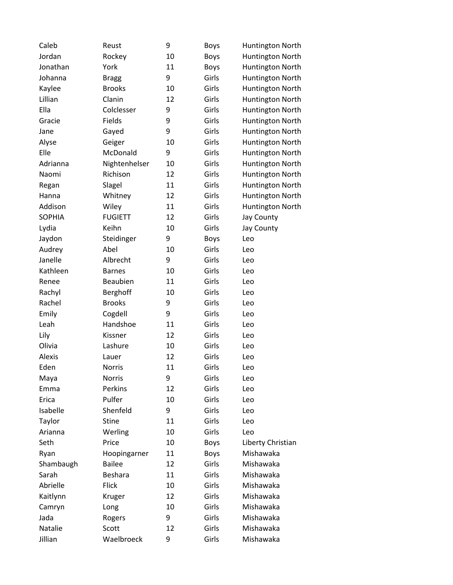| Caleb         | Reust          | 9  | Boys        | Huntington North  |
|---------------|----------------|----|-------------|-------------------|
| Jordan        | Rockey         | 10 | <b>Boys</b> | Huntington North  |
| Jonathan      | York           | 11 | <b>Boys</b> | Huntington North  |
| Johanna       | <b>Bragg</b>   | 9  | Girls       | Huntington North  |
| Kaylee        | <b>Brooks</b>  | 10 | Girls       | Huntington North  |
| Lillian       | Clanin         | 12 | Girls       | Huntington North  |
| Ella          | Colclesser     | 9  | Girls       | Huntington North  |
| Gracie        | Fields         | 9  | Girls       | Huntington North  |
| Jane          | Gayed          | 9  | Girls       | Huntington North  |
| Alyse         | Geiger         | 10 | Girls       | Huntington North  |
| Elle          | McDonald       | 9  | Girls       | Huntington North  |
| Adrianna      | Nightenhelser  | 10 | Girls       | Huntington North  |
| Naomi         | Richison       | 12 | Girls       | Huntington North  |
| Regan         | Slagel         | 11 | Girls       | Huntington North  |
| Hanna         | Whitney        | 12 | Girls       | Huntington North  |
| Addison       | Wiley          | 11 | Girls       | Huntington North  |
| <b>SOPHIA</b> | <b>FUGIETT</b> | 12 | Girls       | Jay County        |
| Lydia         | Keihn          | 10 | Girls       | Jay County        |
| Jaydon        | Steidinger     | 9  | <b>Boys</b> | Leo               |
| Audrey        | Abel           | 10 | Girls       | Leo               |
| Janelle       | Albrecht       | 9  | Girls       | Leo               |
| Kathleen      | <b>Barnes</b>  | 10 | Girls       | Leo               |
| Renee         | Beaubien       | 11 | Girls       | Leo               |
| Rachyl        | Berghoff       | 10 | Girls       | Leo               |
| Rachel        | <b>Brooks</b>  | 9  | Girls       | Leo               |
| Emily         | Cogdell        | 9  | Girls       | Leo               |
| Leah          | Handshoe       | 11 | Girls       | Leo               |
| Lily          | Kissner        | 12 | Girls       | Leo               |
| Olivia        | Lashure        | 10 | Girls       | Leo               |
| Alexis        | Lauer          | 12 | Girls       | Leo               |
| Eden          | <b>Norris</b>  | 11 | Girls       | Leo               |
| Maya          | <b>Norris</b>  | 9  | Girls       | Leo               |
| Emma          | Perkins        | 12 | Girls       | Leo               |
| Erica         | Pulfer         | 10 | Girls       | Leo               |
| Isabelle      | Shenfeld       | 9  | Girls       | Leo               |
| Taylor        | <b>Stine</b>   | 11 | Girls       | Leo               |
| Arianna       | Werling        | 10 | Girls       | Leo               |
| Seth          | Price          | 10 | <b>Boys</b> | Liberty Christian |
| Ryan          | Hoopingarner   | 11 | <b>Boys</b> | Mishawaka         |
| Shambaugh     | <b>Bailee</b>  | 12 | Girls       | Mishawaka         |
| Sarah         | <b>Beshara</b> | 11 | Girls       | Mishawaka         |
| Abrielle      | <b>Flick</b>   | 10 | Girls       | Mishawaka         |
| Kaitlynn      | Kruger         | 12 | Girls       | Mishawaka         |
| Camryn        | Long           | 10 | Girls       | Mishawaka         |
| Jada          | Rogers         | 9  | Girls       | Mishawaka         |
| Natalie       | Scott          | 12 | Girls       | Mishawaka         |
| Jillian       | Waelbroeck     | 9  | Girls       | Mishawaka         |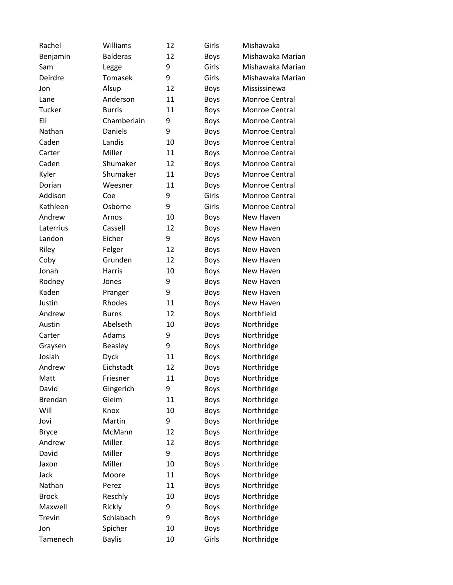| Rachel         | Williams        | 12 | Girls       | Mishawaka        |
|----------------|-----------------|----|-------------|------------------|
| Benjamin       | <b>Balderas</b> | 12 | Boys        | Mishawaka Marian |
| Sam            | Legge           | 9  | Girls       | Mishawaka Marian |
| Deirdre        | Tomasek         | 9  | Girls       | Mishawaka Marian |
| Jon            | Alsup           | 12 | <b>Boys</b> | Mississinewa     |
| Lane           | Anderson        | 11 | <b>Boys</b> | Monroe Central   |
| Tucker         | <b>Burris</b>   | 11 | Boys        | Monroe Central   |
| Eli            | Chamberlain     | 9  | <b>Boys</b> | Monroe Central   |
| Nathan         | Daniels         | 9  | <b>Boys</b> | Monroe Central   |
| Caden          | Landis          | 10 | <b>Boys</b> | Monroe Central   |
| Carter         | Miller          | 11 | <b>Boys</b> | Monroe Central   |
| Caden          | Shumaker        | 12 | <b>Boys</b> | Monroe Central   |
| Kyler          | Shumaker        | 11 | <b>Boys</b> | Monroe Central   |
| Dorian         | Weesner         | 11 | Boys        | Monroe Central   |
| Addison        | Coe             | 9  | Girls       | Monroe Central   |
| Kathleen       | Osborne         | 9  | Girls       | Monroe Central   |
| Andrew         | Arnos           | 10 | <b>Boys</b> | New Haven        |
| Laterrius      | Cassell         | 12 | <b>Boys</b> | New Haven        |
| Landon         | Eicher          | 9  | <b>Boys</b> | New Haven        |
| Riley          | Felger          | 12 | <b>Boys</b> | New Haven        |
| Coby           | Grunden         | 12 | <b>Boys</b> | New Haven        |
| Jonah          | Harris          | 10 | <b>Boys</b> | New Haven        |
| Rodney         | Jones           | 9  | <b>Boys</b> | New Haven        |
| Kaden          | Pranger         | 9  | <b>Boys</b> | New Haven        |
| Justin         | Rhodes          | 11 | <b>Boys</b> | New Haven        |
| Andrew         | <b>Burns</b>    | 12 | <b>Boys</b> | Northfield       |
| Austin         | Abelseth        | 10 | <b>Boys</b> | Northridge       |
| Carter         | Adams           | 9  | <b>Boys</b> | Northridge       |
| Graysen        | <b>Beasley</b>  | 9  | <b>Boys</b> | Northridge       |
| Josiah         | <b>Dyck</b>     | 11 | <b>Boys</b> | Northridge       |
| Andrew         | Eichstadt       | 12 | <b>Boys</b> | Northridge       |
| Matt           | Friesner        | 11 | Boys        | Northridge       |
| David          | Gingerich       | 9  | <b>Boys</b> | Northridge       |
| <b>Brendan</b> | Gleim           | 11 | <b>Boys</b> | Northridge       |
| Will           | Knox            | 10 | <b>Boys</b> | Northridge       |
| Jovi           | Martin          | 9  | <b>Boys</b> | Northridge       |
| <b>Bryce</b>   | McMann          | 12 | <b>Boys</b> | Northridge       |
| Andrew         | Miller          | 12 | Boys        | Northridge       |
| David          | Miller          | 9  | <b>Boys</b> | Northridge       |
| Jaxon          | Miller          | 10 | <b>Boys</b> | Northridge       |
| Jack           | Moore           | 11 | <b>Boys</b> | Northridge       |
| Nathan         | Perez           | 11 | <b>Boys</b> | Northridge       |
| <b>Brock</b>   | Reschly         | 10 | <b>Boys</b> | Northridge       |
| Maxwell        | Rickly          | 9  | <b>Boys</b> | Northridge       |
| Trevin         | Schlabach       | 9  | <b>Boys</b> | Northridge       |
| Jon            | Spicher         | 10 | <b>Boys</b> | Northridge       |
| Tamenech       | <b>Baylis</b>   | 10 | Girls       | Northridge       |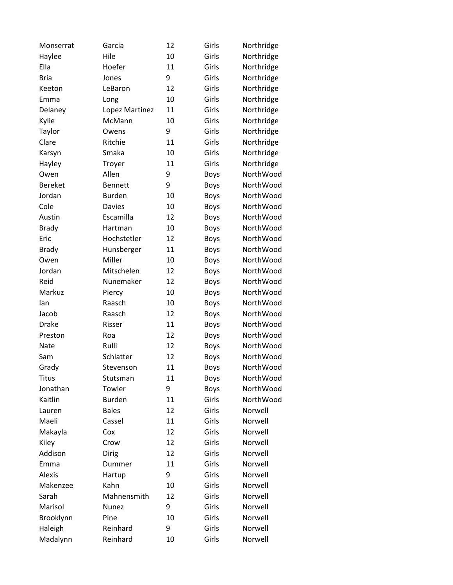| Monserrat      | Garcia         | 12 | Girls       | Northridge |
|----------------|----------------|----|-------------|------------|
| Haylee         | Hile           | 10 | Girls       | Northridge |
| Ella           | Hoefer         | 11 | Girls       | Northridge |
| <b>Bria</b>    | Jones          | 9  | Girls       | Northridge |
| Keeton         | LeBaron        | 12 | Girls       | Northridge |
| Emma           | Long           | 10 | Girls       | Northridge |
| Delaney        | Lopez Martinez | 11 | Girls       | Northridge |
| Kylie          | McMann         | 10 | Girls       | Northridge |
| Taylor         | Owens          | 9  | Girls       | Northridge |
| Clare          | Ritchie        | 11 | Girls       | Northridge |
| Karsyn         | Smaka          | 10 | Girls       | Northridge |
| Hayley         | Troyer         | 11 | Girls       | Northridge |
| Owen           | Allen          | 9  | <b>Boys</b> | NorthWood  |
| <b>Bereket</b> | <b>Bennett</b> | 9  | <b>Boys</b> | NorthWood  |
| Jordan         | <b>Burden</b>  | 10 | <b>Boys</b> | NorthWood  |
| Cole           | <b>Davies</b>  | 10 | <b>Boys</b> | NorthWood  |
| Austin         | Escamilla      | 12 | <b>Boys</b> | NorthWood  |
| <b>Brady</b>   | Hartman        | 10 | <b>Boys</b> | NorthWood  |
| Eric           | Hochstetler    | 12 | <b>Boys</b> | NorthWood  |
| <b>Brady</b>   | Hunsberger     | 11 | <b>Boys</b> | NorthWood  |
| Owen           | Miller         | 10 | <b>Boys</b> | NorthWood  |
| Jordan         | Mitschelen     | 12 | <b>Boys</b> | NorthWood  |
| Reid           | Nunemaker      | 12 | <b>Boys</b> | NorthWood  |
| Markuz         | Piercy         | 10 | <b>Boys</b> | NorthWood  |
| lan            | Raasch         | 10 | <b>Boys</b> | NorthWood  |
| Jacob          | Raasch         | 12 | <b>Boys</b> | NorthWood  |
| <b>Drake</b>   | Risser         | 11 | <b>Boys</b> | NorthWood  |
| Preston        | Roa            | 12 | <b>Boys</b> | NorthWood  |
| Nate           | Rulli          | 12 | <b>Boys</b> | NorthWood  |
| Sam            | Schlatter      | 12 | <b>Boys</b> | NorthWood  |
| Grady          | Stevenson      | 11 | <b>Boys</b> | NorthWood  |
| <b>Titus</b>   | Stutsman       | 11 | <b>Boys</b> | NorthWood  |
| Jonathan       | Towler         | 9  | <b>Boys</b> | NorthWood  |
| Kaitlin        | <b>Burden</b>  | 11 | Girls       | NorthWood  |
| Lauren         | <b>Bales</b>   | 12 | Girls       | Norwell    |
| Maeli          | Cassel         | 11 | Girls       | Norwell    |
| Makayla        | Cox            | 12 | Girls       | Norwell    |
| Kiley          | Crow           | 12 | Girls       | Norwell    |
| Addison        | Dirig          | 12 | Girls       | Norwell    |
| Emma           | Dummer         | 11 | Girls       | Norwell    |
| Alexis         | Hartup         | 9  | Girls       | Norwell    |
| Makenzee       | Kahn           | 10 | Girls       | Norwell    |
| Sarah          | Mahnensmith    | 12 | Girls       | Norwell    |
| Marisol        | Nunez          | 9  | Girls       | Norwell    |
| Brooklynn      | Pine           | 10 | Girls       | Norwell    |
| Haleigh        | Reinhard       | 9  | Girls       | Norwell    |
| Madalynn       | Reinhard       | 10 | Girls       | Norwell    |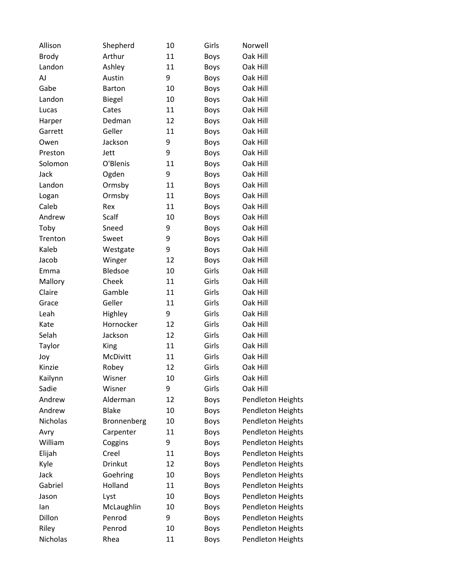| Allison      | Shepherd        | 10 | Girls       | Norwell           |
|--------------|-----------------|----|-------------|-------------------|
| <b>Brody</b> | Arthur          | 11 | <b>Boys</b> | Oak Hill          |
| Landon       | Ashley          | 11 | <b>Boys</b> | Oak Hill          |
| AJ           | Austin          | 9  | <b>Boys</b> | Oak Hill          |
| Gabe         | <b>Barton</b>   | 10 | Boys        | Oak Hill          |
| Landon       | <b>Biegel</b>   | 10 | <b>Boys</b> | Oak Hill          |
| Lucas        | Cates           | 11 | <b>Boys</b> | Oak Hill          |
| Harper       | Dedman          | 12 | <b>Boys</b> | Oak Hill          |
| Garrett      | Geller          | 11 | <b>Boys</b> | Oak Hill          |
| Owen         | Jackson         | 9  | <b>Boys</b> | Oak Hill          |
| Preston      | Jett            | 9  | <b>Boys</b> | Oak Hill          |
| Solomon      | O'Blenis        | 11 | <b>Boys</b> | Oak Hill          |
| Jack         | Ogden           | 9  | <b>Boys</b> | Oak Hill          |
| Landon       | Ormsby          | 11 | <b>Boys</b> | Oak Hill          |
| Logan        | Ormsby          | 11 | <b>Boys</b> | Oak Hill          |
| Caleb        | Rex             | 11 | <b>Boys</b> | Oak Hill          |
| Andrew       | Scalf           | 10 | <b>Boys</b> | Oak Hill          |
| Toby         | Sneed           | 9  | <b>Boys</b> | Oak Hill          |
| Trenton      | Sweet           | 9  | Boys        | Oak Hill          |
| Kaleb        | Westgate        | 9  | <b>Boys</b> | Oak Hill          |
| Jacob        | Winger          | 12 | <b>Boys</b> | Oak Hill          |
| Emma         | Bledsoe         | 10 | Girls       | Oak Hill          |
| Mallory      | Cheek           | 11 | Girls       | Oak Hill          |
| Claire       | Gamble          | 11 | Girls       | Oak Hill          |
| Grace        | Geller          | 11 | Girls       | Oak Hill          |
| Leah         | Highley         | 9  | Girls       | Oak Hill          |
| Kate         | Hornocker       | 12 | Girls       | Oak Hill          |
| Selah        | Jackson         | 12 | Girls       | Oak Hill          |
| Taylor       | <b>King</b>     | 11 | Girls       | Oak Hill          |
| Joy          | <b>McDivitt</b> | 11 | Girls       | Oak Hill          |
| Kinzie       | Robey           | 12 | Girls       | Oak Hill          |
| Kailynn      | Wisner          | 10 | Girls       | Oak Hill          |
| Sadie        | Wisner          | 9  | Girls       | Oak Hill          |
| Andrew       | Alderman        | 12 | <b>Boys</b> | Pendleton Heights |
| Andrew       | <b>Blake</b>    | 10 | <b>Boys</b> | Pendleton Heights |
| Nicholas     | Bronnenberg     | 10 | <b>Boys</b> | Pendleton Heights |
| Avry         | Carpenter       | 11 | <b>Boys</b> | Pendleton Heights |
| William      | Coggins         | 9  | <b>Boys</b> | Pendleton Heights |
| Elijah       | Creel           | 11 | <b>Boys</b> | Pendleton Heights |
| Kyle         | Drinkut         | 12 | <b>Boys</b> | Pendleton Heights |
| Jack         | Goehring        | 10 | <b>Boys</b> | Pendleton Heights |
| Gabriel      | Holland         | 11 | <b>Boys</b> | Pendleton Heights |
| Jason        | Lyst            | 10 | <b>Boys</b> | Pendleton Heights |
| lan          | McLaughlin      | 10 | <b>Boys</b> | Pendleton Heights |
| Dillon       | Penrod          | 9  | <b>Boys</b> | Pendleton Heights |
| Riley        | Penrod          | 10 | <b>Boys</b> | Pendleton Heights |
| Nicholas     | Rhea            | 11 | <b>Boys</b> | Pendleton Heights |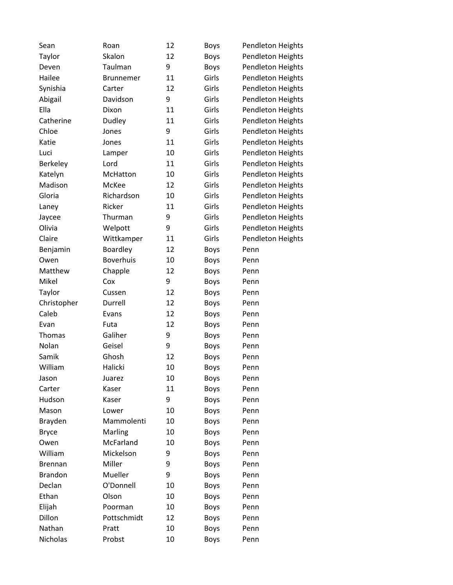| Sean           | Roan             | 12 | <b>Boys</b> | Pendleton Heights |
|----------------|------------------|----|-------------|-------------------|
| Taylor         | Skalon           | 12 | <b>Boys</b> | Pendleton Heights |
| Deven          | Taulman          | 9  | <b>Boys</b> | Pendleton Heights |
| Hailee         | <b>Brunnemer</b> | 11 | Girls       | Pendleton Heights |
| Synishia       | Carter           | 12 | Girls       | Pendleton Heights |
| Abigail        | Davidson         | 9  | Girls       | Pendleton Heights |
| Ella           | Dixon            | 11 | Girls       | Pendleton Heights |
| Catherine      | Dudley           | 11 | Girls       | Pendleton Heights |
| Chloe          | Jones            | 9  | Girls       | Pendleton Heights |
| Katie          | Jones            | 11 | Girls       | Pendleton Heights |
| Luci           | Lamper           | 10 | Girls       | Pendleton Heights |
| Berkeley       | Lord             | 11 | Girls       | Pendleton Heights |
| Katelyn        | McHatton         | 10 | Girls       | Pendleton Heights |
| Madison        | McKee            | 12 | Girls       | Pendleton Heights |
| Gloria         | Richardson       | 10 | Girls       | Pendleton Heights |
| Laney          | Ricker           | 11 | Girls       | Pendleton Heights |
| Jaycee         | Thurman          | 9  | Girls       | Pendleton Heights |
| Olivia         | Welpott          | 9  | Girls       | Pendleton Heights |
| Claire         | Wittkamper       | 11 | Girls       | Pendleton Heights |
| Benjamin       | Boardley         | 12 | <b>Boys</b> | Penn              |
| Owen           | <b>Boverhuis</b> | 10 | <b>Boys</b> | Penn              |
| Matthew        | Chapple          | 12 | <b>Boys</b> | Penn              |
| Mikel          | Cox              | 9  | <b>Boys</b> | Penn              |
| Taylor         | Cussen           | 12 | <b>Boys</b> | Penn              |
| Christopher    | Durrell          | 12 | <b>Boys</b> | Penn              |
| Caleb          | Evans            | 12 | <b>Boys</b> | Penn              |
| Evan           | Futa             | 12 | <b>Boys</b> | Penn              |
| Thomas         | Galiher          | 9  | <b>Boys</b> | Penn              |
| Nolan          | Geisel           | 9  | <b>Boys</b> | Penn              |
| Samik          | Ghosh            | 12 | <b>Boys</b> | Penn              |
| William        | Halicki          | 10 | <b>Boys</b> | Penn              |
| Jason          | Juarez           | 10 | <b>Boys</b> | Penn              |
| Carter         | Kaser            | 11 | <b>Boys</b> | Penn              |
| Hudson         | Kaser            | 9  | <b>Boys</b> | Penn              |
| Mason          | Lower            | 10 | <b>Boys</b> | Penn              |
| Brayden        | Mammolenti       | 10 | <b>Boys</b> | Penn              |
| <b>Bryce</b>   | Marling          | 10 | <b>Boys</b> | Penn              |
| Owen           | McFarland        | 10 | <b>Boys</b> | Penn              |
| William        | Mickelson        | 9  | <b>Boys</b> | Penn              |
| <b>Brennan</b> | Miller           | 9  | <b>Boys</b> | Penn              |
| <b>Brandon</b> | Mueller          | 9  | <b>Boys</b> | Penn              |
| Declan         | O'Donnell        | 10 | <b>Boys</b> | Penn              |
| Ethan          | Olson            | 10 | <b>Boys</b> | Penn              |
| Elijah         | Poorman          | 10 | <b>Boys</b> | Penn              |
| Dillon         | Pottschmidt      | 12 | <b>Boys</b> | Penn              |
| Nathan         | Pratt            | 10 | <b>Boys</b> | Penn              |
| Nicholas       | Probst           | 10 | Boys        | Penn              |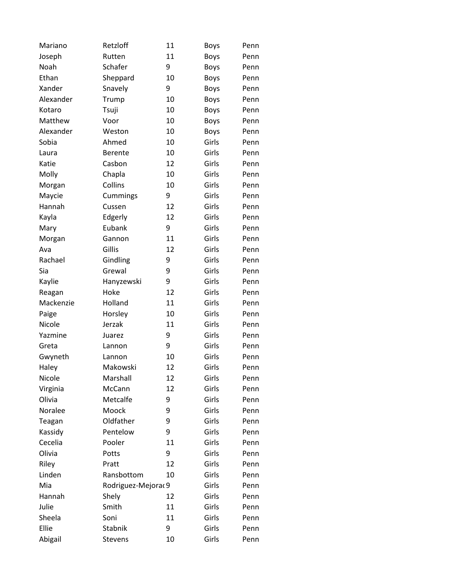| Mariano   | Retzloff            | 11 | Boys        | Penn |
|-----------|---------------------|----|-------------|------|
| Joseph    | Rutten              | 11 | <b>Boys</b> | Penn |
| Noah      | Schafer             | 9  | <b>Boys</b> | Penn |
| Ethan     | Sheppard            | 10 | <b>Boys</b> | Penn |
| Xander    | Snavely             | 9  | <b>Boys</b> | Penn |
| Alexander | Trump               | 10 | <b>Boys</b> | Penn |
| Kotaro    | Tsuji               | 10 | <b>Boys</b> | Penn |
| Matthew   | Voor                | 10 | <b>Boys</b> | Penn |
| Alexander | Weston              | 10 | <b>Boys</b> | Penn |
| Sobia     | Ahmed               | 10 | Girls       | Penn |
| Laura     | <b>Berente</b>      | 10 | Girls       | Penn |
| Katie     | Casbon              | 12 | Girls       | Penn |
| Molly     | Chapla              | 10 | Girls       | Penn |
| Morgan    | Collins             | 10 | Girls       | Penn |
| Maycie    | Cummings            | 9  | Girls       | Penn |
| Hannah    | Cussen              | 12 | Girls       | Penn |
| Kayla     | Edgerly             | 12 | Girls       | Penn |
| Mary      | Eubank              | 9  | Girls       | Penn |
| Morgan    | Gannon              | 11 | Girls       | Penn |
| Ava       | Gillis              | 12 | Girls       | Penn |
| Rachael   | Gindling            | 9  | Girls       | Penn |
| Sia       | Grewal              | 9  | Girls       | Penn |
| Kaylie    | Hanyzewski          | 9  | Girls       | Penn |
| Reagan    | Hoke                | 12 | Girls       | Penn |
| Mackenzie | Holland             | 11 | Girls       | Penn |
| Paige     | Horsley             | 10 | Girls       | Penn |
| Nicole    | Jerzak              | 11 | Girls       | Penn |
| Yazmine   | Juarez              | 9  | Girls       | Penn |
| Greta     | Lannon              | 9  | Girls       | Penn |
| Gwyneth   | Lannon              | 10 | Girls       | Penn |
| Haley     | Makowski            | 12 | Girls       | Penn |
| Nicole    | Marshall            | 12 | Girls       | Penn |
| Virginia  | McCann              | 12 | Girls       | Penn |
| Olivia    | Metcalfe            | 9  | Girls       | Penn |
| Noralee   | Moock               | 9  | Girls       | Penn |
| Teagan    | Oldfather           | 9  | Girls       | Penn |
| Kassidy   | Pentelow            | 9  | Girls       | Penn |
| Cecelia   | Pooler              | 11 | Girls       | Penn |
| Olivia    | Potts               | 9  | Girls       | Penn |
| Riley     | Pratt               | 12 | Girls       | Penn |
| Linden    | Ransbottom          | 10 | Girls       | Penn |
| Mia       | Rodriguez-Mejorac 9 |    | Girls       | Penn |
| Hannah    | Shely               | 12 | Girls       | Penn |
| Julie     | Smith               | 11 | Girls       | Penn |
| Sheela    | Soni                | 11 | Girls       | Penn |
| Ellie     | Stabnik             | 9  | Girls       | Penn |
| Abigail   | Stevens             | 10 | Girls       | Penn |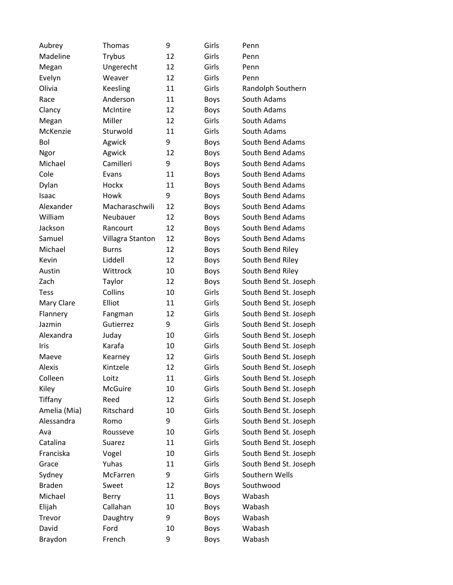| Aubrey        | Thomas           | 9  | Girls       | Penn                  |
|---------------|------------------|----|-------------|-----------------------|
| Madeline      | <b>Trybus</b>    | 12 | Girls       | Penn                  |
| Megan         | Ungerecht        | 12 | Girls       | Penn                  |
| Evelyn        | Weaver           | 12 | Girls       | Penn                  |
| Olivia        | Keesling         | 11 | Girls       | Randolph Southern     |
| Race          | Anderson         | 11 | <b>Boys</b> | South Adams           |
| Clancy        | McIntire         | 12 | <b>Boys</b> | South Adams           |
| Megan         | Miller           | 12 | Girls       | South Adams           |
| McKenzie      | Sturwold         | 11 | Girls       | South Adams           |
| Bol           | Agwick           | 9  | Boys        | South Bend Adams      |
| Ngor          | Agwick           | 12 | <b>Boys</b> | South Bend Adams      |
| Michael       | Camilleri        | 9  | <b>Boys</b> | South Bend Adams      |
| Cole          | Evans            | 11 | <b>Boys</b> | South Bend Adams      |
| Dylan         | Hockx            | 11 | <b>Boys</b> | South Bend Adams      |
| Isaac         | Howk             | 9  | <b>Boys</b> | South Bend Adams      |
| Alexander     | Macharaschwili   | 12 | <b>Boys</b> | South Bend Adams      |
| William       | Neubauer         | 12 | <b>Boys</b> | South Bend Adams      |
| Jackson       | Rancourt         | 12 | <b>Boys</b> | South Bend Adams      |
| Samuel        | Villagra Stanton | 12 | <b>Boys</b> | South Bend Adams      |
| Michael       | <b>Burns</b>     | 12 | <b>Boys</b> | South Bend Riley      |
| Kevin         | Liddell          | 12 | <b>Boys</b> | South Bend Riley      |
| Austin        | Wittrock         | 10 | <b>Boys</b> | South Bend Riley      |
| Zach          | Taylor           | 12 | <b>Boys</b> | South Bend St. Joseph |
| <b>Tess</b>   | Collins          | 10 | Girls       | South Bend St. Joseph |
| Mary Clare    | Elliot           | 11 | Girls       | South Bend St. Joseph |
| Flannery      | Fangman          | 12 | Girls       | South Bend St. Joseph |
| Jazmin        | Gutierrez        | 9  | Girls       | South Bend St. Joseph |
| Alexandra     | Juday            | 10 | Girls       | South Bend St. Joseph |
| Iris          | Karafa           | 10 | Girls       | South Bend St. Joseph |
| Maeve         | Kearney          | 12 | Girls       | South Bend St. Joseph |
| Alexis        | Kintzele         | 12 | Girls       | South Bend St. Joseph |
| Colleen       | Loitz            | 11 | Girls       | South Bend St. Joseph |
| Kiley         | <b>McGuire</b>   | 10 | Girls       | South Bend St. Joseph |
| Tiffany       | Reed             | 12 | Girls       | South Bend St. Joseph |
| Amelia (Mia)  | Ritschard        | 10 | Girls       | South Bend St. Joseph |
| Alessandra    | Romo             | 9  | Girls       | South Bend St. Joseph |
| Ava           | Rousseve         | 10 | Girls       | South Bend St. Joseph |
| Catalina      | Suarez           | 11 | Girls       | South Bend St. Joseph |
| Franciska     | Vogel            | 10 | Girls       | South Bend St. Joseph |
| Grace         | Yuhas            | 11 | Girls       | South Bend St. Joseph |
| Sydney        | McFarren         | 9  | Girls       | Southern Wells        |
| <b>Braden</b> | Sweet            | 12 | <b>Boys</b> | Southwood             |
| Michael       | Berry            | 11 | <b>Boys</b> | Wabash                |
| Elijah        | Callahan         | 10 | <b>Boys</b> | Wabash                |
| Trevor        | Daughtry         | 9  | <b>Boys</b> | Wabash                |
| David         | Ford             | 10 | <b>Boys</b> | Wabash                |
| Braydon       | French           | 9  | <b>Boys</b> | Wabash                |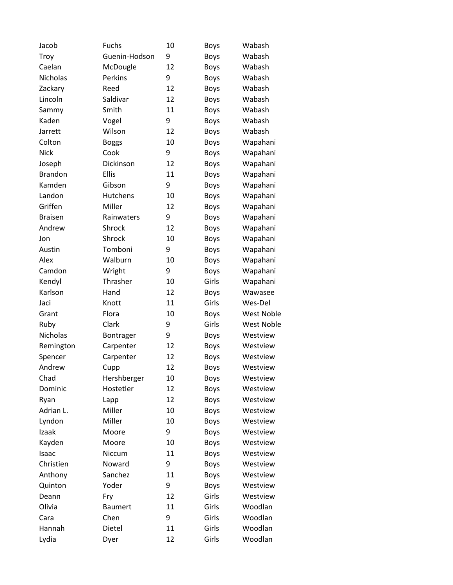| Jacob           | <b>Fuchs</b>    | 10 | Boys        | Wabash            |
|-----------------|-----------------|----|-------------|-------------------|
| Troy            | Guenin-Hodson   | 9  | <b>Boys</b> | Wabash            |
| Caelan          | McDougle        | 12 | <b>Boys</b> | Wabash            |
| <b>Nicholas</b> | Perkins         | 9  | <b>Boys</b> | Wabash            |
| Zackary         | Reed            | 12 | <b>Boys</b> | Wabash            |
| Lincoln         | Saldivar        | 12 | <b>Boys</b> | Wabash            |
| Sammy           | Smith           | 11 | <b>Boys</b> | Wabash            |
| Kaden           | Vogel           | 9  | <b>Boys</b> | Wabash            |
| Jarrett         | Wilson          | 12 | <b>Boys</b> | Wabash            |
| Colton          | <b>Boggs</b>    | 10 | <b>Boys</b> | Wapahani          |
| <b>Nick</b>     | Cook            | 9  | <b>Boys</b> | Wapahani          |
| Joseph          | Dickinson       | 12 | <b>Boys</b> | Wapahani          |
| <b>Brandon</b>  | Ellis           | 11 | <b>Boys</b> | Wapahani          |
| Kamden          | Gibson          | 9  | <b>Boys</b> | Wapahani          |
| Landon          | <b>Hutchens</b> | 10 | <b>Boys</b> | Wapahani          |
| Griffen         | Miller          | 12 | <b>Boys</b> | Wapahani          |
| <b>Braisen</b>  | Rainwaters      | 9  | <b>Boys</b> | Wapahani          |
| Andrew          | Shrock          | 12 | <b>Boys</b> | Wapahani          |
| Jon             | Shrock          | 10 | <b>Boys</b> | Wapahani          |
| Austin          | Tomboni         | 9  | <b>Boys</b> | Wapahani          |
| Alex            | Walburn         | 10 | <b>Boys</b> | Wapahani          |
| Camdon          | Wright          | 9  | <b>Boys</b> | Wapahani          |
| Kendyl          | Thrasher        | 10 | Girls       | Wapahani          |
| Karlson         | Hand            | 12 | <b>Boys</b> | Wawasee           |
| Jaci            | Knott           | 11 | Girls       | Wes-Del           |
| Grant           | Flora           | 10 | <b>Boys</b> | West Noble        |
| Ruby            | Clark           | 9  | Girls       | <b>West Noble</b> |
| Nicholas        | Bontrager       | 9  | <b>Boys</b> | Westview          |
| Remington       | Carpenter       | 12 | <b>Boys</b> | Westview          |
| Spencer         | Carpenter       | 12 | <b>Boys</b> | Westview          |
| Andrew          | Cupp            | 12 | <b>Boys</b> | Westview          |
| Chad            | Hershberger     | 10 | Boys        | Westview          |
| Dominic         | Hostetler       | 12 | <b>Boys</b> | Westview          |
| Ryan            | Lapp            | 12 | <b>Boys</b> | Westview          |
| Adrian L.       | Miller          | 10 | <b>Boys</b> | Westview          |
| Lyndon          | Miller          | 10 | <b>Boys</b> | Westview          |
| Izaak           | Moore           | 9  | <b>Boys</b> | Westview          |
| Kayden          | Moore           | 10 | <b>Boys</b> | Westview          |
| Isaac           | Niccum          | 11 | <b>Boys</b> | Westview          |
| Christien       | Noward          | 9  | <b>Boys</b> | Westview          |
| Anthony         | Sanchez         | 11 | Boys        | Westview          |
| Quinton         | Yoder           | 9  | <b>Boys</b> | Westview          |
| Deann           | Fry             | 12 | Girls       | Westview          |
| Olivia          | <b>Baumert</b>  | 11 | Girls       | Woodlan           |
| Cara            | Chen            | 9  | Girls       | Woodlan           |
| Hannah          | Dietel          | 11 | Girls       | Woodlan           |
| Lydia           | Dyer            | 12 | Girls       | Woodlan           |